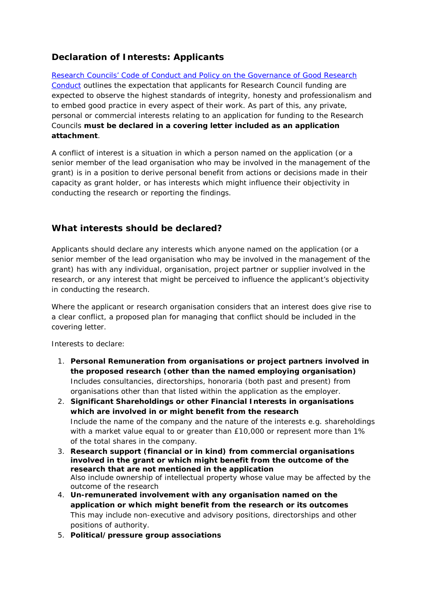## **Declaration of Interests: Applicants**

[Research Councils' Code of Conduct and Policy on the Governance of Good Research](http://www.rcuk.ac.uk/RCUK-prod/assets/documents/reviews/grc/RCUKPolicyandGuidelinesonGovernanceofGoodResearchPracticeFebruary2013.pdf)  [Conduct](http://www.rcuk.ac.uk/RCUK-prod/assets/documents/reviews/grc/RCUKPolicyandGuidelinesonGovernanceofGoodResearchPracticeFebruary2013.pdf) outlines the expectation that applicants for Research Council funding are expected to observe the highest standards of integrity, honesty and professionalism and to embed good practice in every aspect of their work. As part of this, any private, personal or commercial interests relating to an application for funding to the Research Councils **must be declared in a covering letter included as an application attachment**.

A conflict of interest is a situation in which a person named on the application (or a senior member of the lead organisation who may be involved in the management of the grant) is in a position to derive personal benefit from actions or decisions made in their capacity as grant holder, or has interests which might influence their objectivity in conducting the research or reporting the findings.

## **What interests should be declared?**

Applicants should declare any interests which anyone named on the application (or a senior member of the lead organisation who may be involved in the management of the grant) has with any individual, organisation, project partner or supplier involved in the research, or any interest that might be perceived to influence the applicant's objectivity in conducting the research.

Where the applicant or research organisation considers that an interest does give rise to a clear conflict, a proposed plan for managing that conflict should be included in the covering letter.

Interests to declare:

- 1. **Personal Remuneration from organisations or project partners involved in the proposed research (other than the named employing organisation)** Includes consultancies, directorships, honoraria (both past and present) from organisations other than that listed within the application as the employer.
- 2. **Significant Shareholdings or other Financial Interests in organisations which are involved in or might benefit from the research** Include the name of the company and the nature of the interests e.g. shareholdings with a market value equal to or greater than £10,000 or represent more than 1% of the total shares in the company.
- 3. **Research support (financial or in kind) from commercial organisations involved in the grant or which might benefit from the outcome of the research that are not mentioned in the application** Also include ownership of intellectual property whose value may be affected by the outcome of the research
- 4. **Un-remunerated involvement with any organisation named on the application or which might benefit from the research or its outcomes** This may include non-executive and advisory positions, directorships and other positions of authority.
- 5. **Political/pressure group associations**